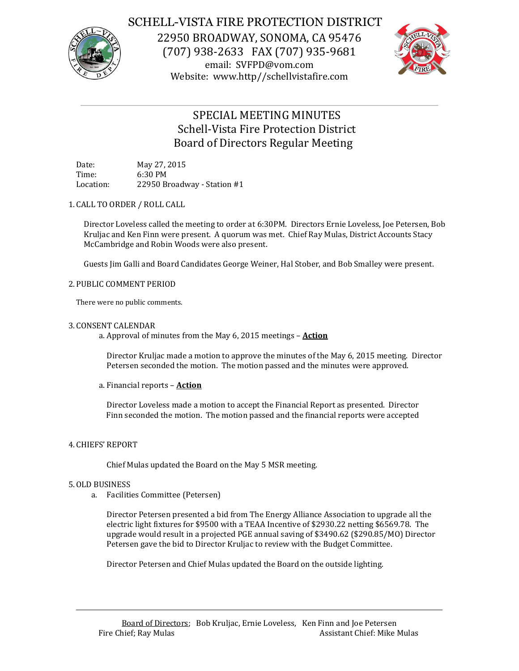

# SCHELL-VISTA FIRE PROTECTION DISTRICT

22950 BROADWAY, SONOMA, CA 95476 (707) 938-2633 FAX (707) 935-9681 email: SVFPD@vom.com Website: www.http//schellvistafire.com



# SPECIAL MEETING MINUTES Schell-Vista Fire Protection District Board of Directors Regular Meeting

Date: May 27, 2015 Time: 6:30 PM Location: 22950 Broadway - Station #1

## 1. CALL TO ORDER / ROLL CALL

Director Loveless called the meeting to order at 6:30PM. Directors Ernie Loveless, Joe Petersen, Bob Kruljac and Ken Finn were present. A quorum was met. Chief Ray Mulas, District Accounts Stacy McCambridge and Robin Woods were also present.

Guests Jim Galli and Board Candidates George Weiner, Hal Stober, and Bob Smalley were present.

# 2. PUBLIC COMMENT PERIOD

There were no public comments.

## 3. CONSENT CALENDAR

a. Approval of minutes from the May 6, 2015 meetings – **Action**

Director Kruljac made a motion to approve the minutes of the May 6, 2015 meeting. Director Petersen seconded the motion. The motion passed and the minutes were approved.

## a. Financial reports – **Action**

Director Loveless made a motion to accept the Financial Report as presented. Director Finn seconded the motion. The motion passed and the financial reports were accepted

# 4. CHIEFS' REPORT

Chief Mulas updated the Board on the May 5 MSR meeting.

## 5.OLD BUSINESS

a. Facilities Committee (Petersen)

Director Petersen presented a bid from The Energy Alliance Association to upgrade all the electric light fixtures for \$9500 with a TEAA Incentive of \$2930.22 netting \$6569.78. The upgrade would result in a projected PGE annual saving of \$3490.62 (\$290.85/MO) Director Petersen gave the bid to Director Kruljac to review with the Budget Committee.

Director Petersen and Chief Mulas updated the Board on the outside lighting.